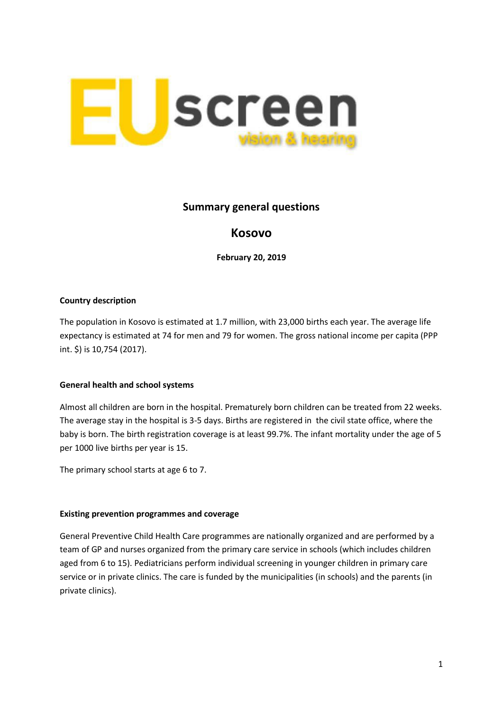

## **Summary general questions**

# **Kosovo**

**February 20, 2019**

### **Country description**

The population in Kosovo is estimated at 1.7 million, with 23,000 births each year. The average life expectancy is estimated at 74 for men and 79 for women. The gross national income per capita (PPP int. \$) is 10,754 (2017).

#### **General health and school systems**

Almost all children are born in the hospital. Prematurely born children can be treated from 22 weeks. The average stay in the hospital is 3-5 days. Births are registered in the civil state office, where the baby is born. The birth registration coverage is at least 99.7%. The infant mortality under the age of 5 per 1000 live births per year is 15.

The primary school starts at age 6 to 7.

#### **Existing prevention programmes and coverage**

General Preventive Child Health Care programmes are nationally organized and are performed by a team of GP and nurses organized from the primary care service in schools (which includes children aged from 6 to 15). Pediatricians perform individual screening in younger children in primary care service or in private clinics. The care is funded by the municipalities (in schools) and the parents (in private clinics).